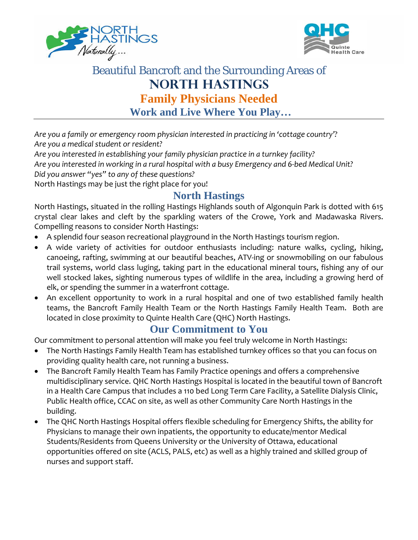



# Beautiful Bancroft and the Surrounding Areas of **North Hastings Family Physicians Needed**

**Work and Live Where You Play…** 

*Are you a family or emergency room physician interested in practicing in 'cottage country'? Are you a medical student or resident?* 

*Are you interested in establishing your family physician practice in a turnkey facility?* Are you interested in working in a rural hospital with a busy Emergency and 6-bed Medical Unit? *Did you answer "yes" to any of these questions?*

North Hastings may be just the right place for you!

## **North Hastings**

North Hastings, situated in the rolling Hastings Highlands south of Algonquin Park is dotted with 615 crystal clear lakes and cleft by the sparkling waters of the Crowe, York and Madawaska Rivers. Compelling reasons to consider North Hastings:

- A splendid four season recreational playground in the North Hastings tourism region.
- A wide variety of activities for outdoor enthusiasts including: nature walks, cycling, hiking, canoeing, rafting, swimming at our beautiful beaches, ATV‐ing or snowmobiling on our fabulous trail systems, world class luging, taking part in the educational mineral tours, fishing any of our well stocked lakes, sighting numerous types of wildlife in the area, including a growing herd of elk, or spending the summer in a waterfront cottage.
- An excellent opportunity to work in a rural hospital and one of two established family health teams, the Bancroft Family Health Team or the North Hastings Family Health Team. Both are located in close proximity to Quinte Health Care (QHC) North Hastings.

### **Our Commitment to You**

Our commitment to personal attention will make you feel truly welcome in North Hastings:

- The North Hastings Family Health Team has established turnkey offices so that you can focus on providing quality health care, not running a business.
- The Bancroft Family Health Team has Family Practice openings and offers a comprehensive multidisciplinary service. QHC North Hastings Hospital is located in the beautiful town of Bancroft in a Health Care Campus that includes a 110 bed Long Term Care Facility, a Satellite Dialysis Clinic, Public Health office, CCAC on site, as well as other Community Care North Hastings in the building.
- The QHC North Hastings Hospital offers flexible scheduling for Emergency Shifts, the ability for Physicians to manage their own inpatients, the opportunity to educate/mentor Medical Students/Residents from Queens University or the University of Ottawa, educational opportunities offered on site (ACLS, PALS, etc) as well as a highly trained and skilled group of nurses and support staff.